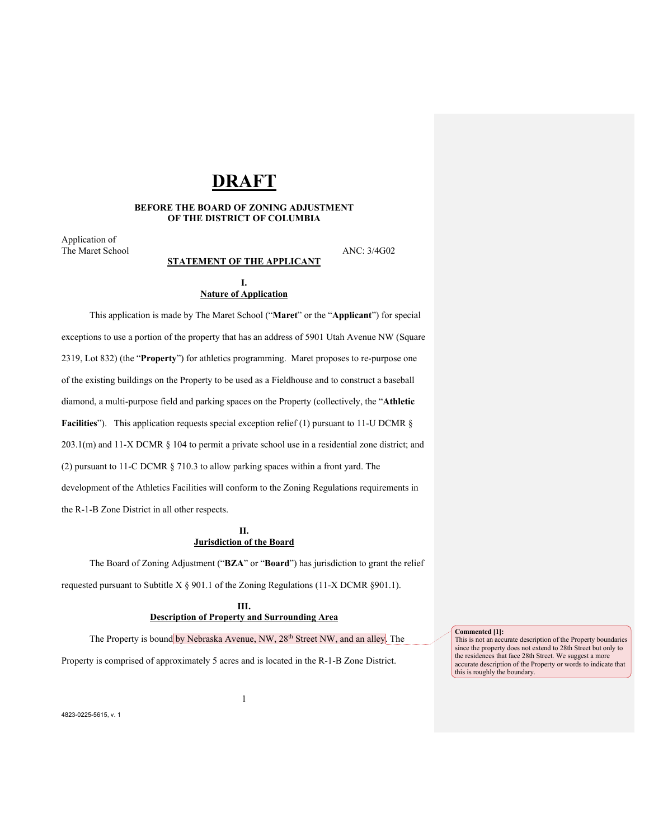# **DRAFT**

#### **BEFORE THE BOARD OF ZONING ADJUSTMENT OF THE DISTRICT OF COLUMBIA**

Application of The Maret School ANC: 3/4G02

## **STATEMENT OF THE APPLICANT**

#### **I. Nature of Application**

This application is made by The Maret School ("**Maret**" or the "**Applicant**") for special exceptions to use a portion of the property that has an address of 5901 Utah Avenue NW (Square 2319, Lot 832) (the "**Property**") for athletics programming. Maret proposes to re-purpose one of the existing buildings on the Property to be used as a Fieldhouse and to construct a baseball diamond, a multi-purpose field and parking spaces on the Property (collectively, the "**Athletic** Facilities"). This application requests special exception relief (1) pursuant to 11-U DCMR § 203.1(m) and 11-X DCMR § 104 to permit a private school use in a residential zone district; and (2) pursuant to 11-C DCMR § 710.3 to allow parking spaces within a front yard. The development of the Athletics Facilities will conform to the Zoning Regulations requirements in the R-1-B Zone District in all other respects.

## **II. Jurisdiction of the Board**

The Board of Zoning Adjustment ("**BZA**" or "**Board**") has jurisdiction to grant the relief requested pursuant to Subtitle  $X \$  901.1 of the Zoning Regulations (11-X DCMR §901.1).

> **III. Description of Property and Surrounding Area**

The Property is bound by Nebraska Avenue, NW, 28<sup>th</sup> Street NW, and an alley. The

1

Property is comprised of approximately 5 acres and is located in the R-1-B Zone District.

**Commented [1]:**

This is not an accurate description of the Property boundaries since the property does not extend to 28th Street but only to the residences that face 28th Street. We suggest a more accurate description of the Property or words to indicate that this is roughly the boundary.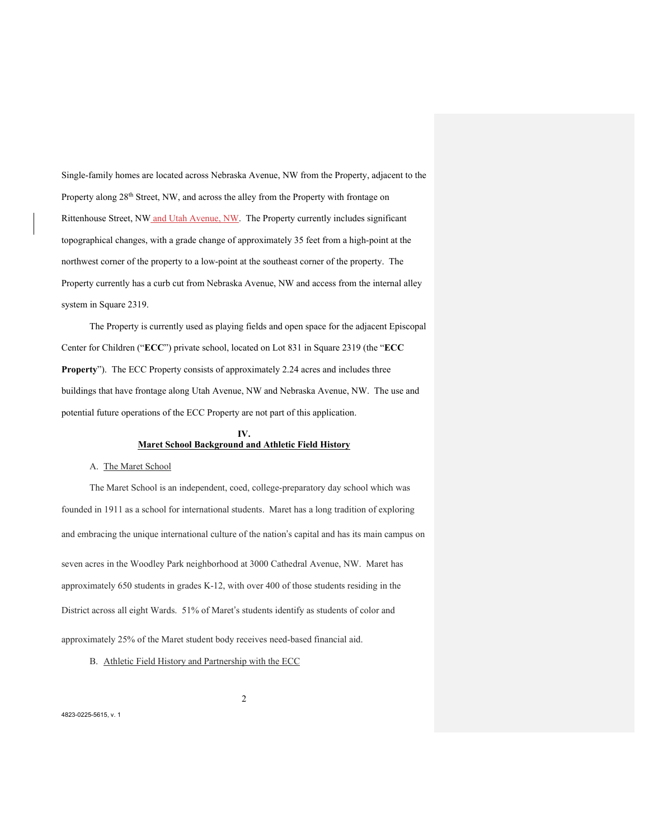Single-family homes are located across Nebraska Avenue, NW from the Property, adjacent to the Property along 28<sup>th</sup> Street, NW, and across the alley from the Property with frontage on Rittenhouse Street, NW and Utah Avenue, NW. The Property currently includes significant topographical changes, with a grade change of approximately 35 feet from a high-point at the northwest corner of the property to a low-point at the southeast corner of the property. The Property currently has a curb cut from Nebraska Avenue, NW and access from the internal alley system in Square 2319.

The Property is currently used as playing fields and open space for the adjacent Episcopal Center for Children ("**ECC**") private school, located on Lot 831 in Square 2319 (the "**ECC Property**"). The ECC Property consists of approximately 2.24 acres and includes three buildings that have frontage along Utah Avenue, NW and Nebraska Avenue, NW. The use and potential future operations of the ECC Property are not part of this application.

## **IV. Maret School Background and Athletic Field History**

#### A. The Maret School

The Maret School is an independent, coed, college-preparatory day school which was founded in 1911 as a school for international students. Maret has a long tradition of exploring and embracing the unique international culture of the nation's capital and has its main campus on seven acres in the Woodley Park neighborhood at 3000 Cathedral Avenue, NW. Maret has approximately 650 students in grades K-12, with over 400 of those students residing in the District across all eight Wards. 51% of Maret's students identify as students of color and approximately 25% of the Maret student body receives need-based financial aid.

2

B. Athletic Field History and Partnership with the ECC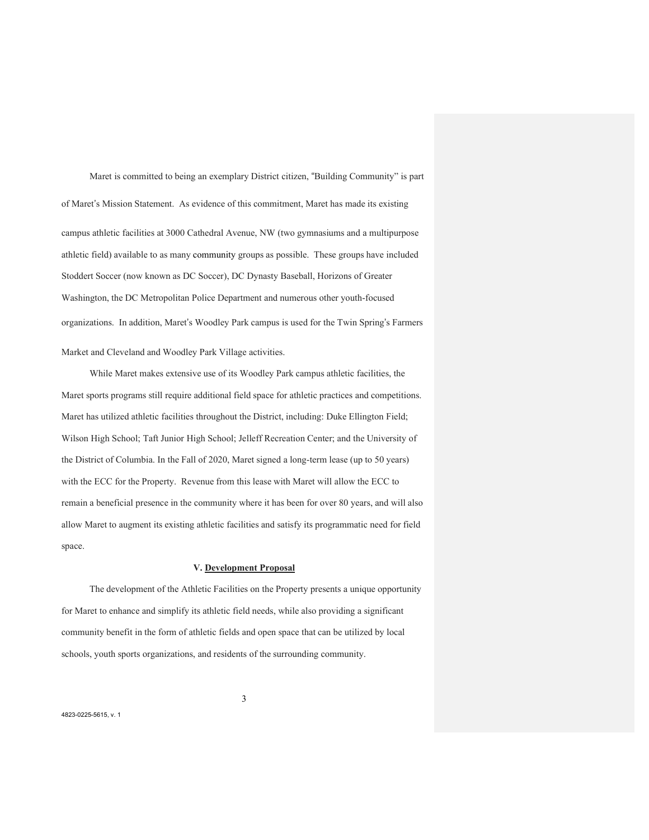Maret is committed to being an exemplary District citizen, "Building Community" is part of Maret's Mission Statement. As evidence of this commitment, Maret has made its existing campus athletic facilities at 3000 Cathedral Avenue, NW (two gymnasiums and a multipurpose athletic field) available to as many community groups as possible. These groups have included Stoddert Soccer (now known as DC Soccer), DC Dynasty Baseball, Horizons of Greater Washington, the DC Metropolitan Police Department and numerous other youth-focused organizations. In addition, Maret's Woodley Park campus is used for the Twin Spring's Farmers Market and Cleveland and Woodley Park Village activities.

While Maret makes extensive use of its Woodley Park campus athletic facilities, the Maret sports programs still require additional field space for athletic practices and competitions. Maret has utilized athletic facilities throughout the District, including: Duke Ellington Field; Wilson High School; Taft Junior High School; Jelleff Recreation Center; and the University of the District of Columbia. In the Fall of 2020, Maret signed a long-term lease (up to 50 years) with the ECC for the Property. Revenue from this lease with Maret will allow the ECC to remain a beneficial presence in the community where it has been for over 80 years, and will also allow Maret to augment its existing athletic facilities and satisfy its programmatic need for field space.

#### **V. Development Proposal**

The development of the Athletic Facilities on the Property presents a unique opportunity for Maret to enhance and simplify its athletic field needs, while also providing a significant community benefit in the form of athletic fields and open space that can be utilized by local schools, youth sports organizations, and residents of the surrounding community.

3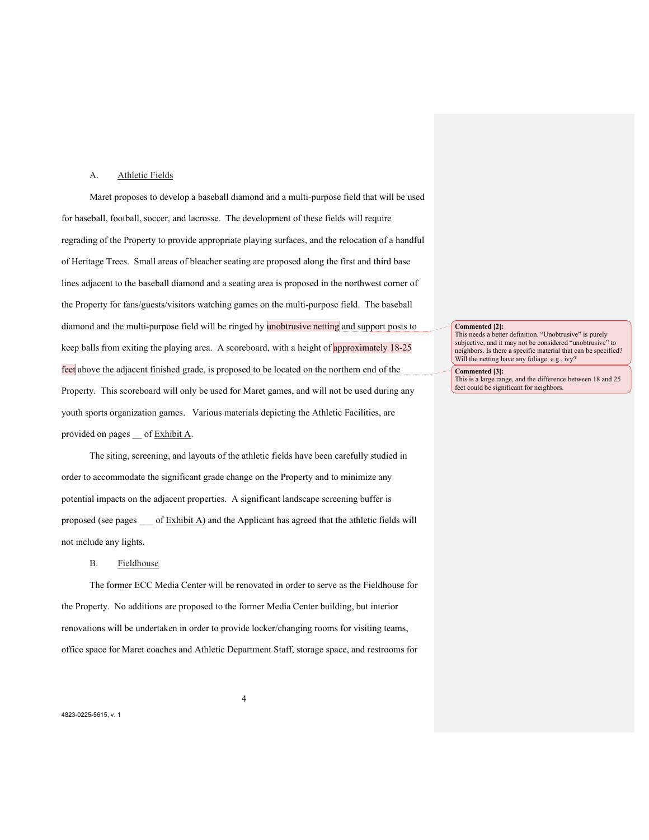#### A. Athletic Fields

Maret proposes to develop a baseball diamond and a multi-purpose field that will be used for baseball, football, soccer, and lacrosse. The development of these fields will require regrading of the Property to provide appropriate playing surfaces, and the relocation of a handful of Heritage Trees. Small areas of bleacher seating are proposed along the first and third base lines adjacent to the baseball diamond and a seating area is proposed in the northwest corner of the Property for fans/guests/visitors watching games on the multi-purpose field. The baseball diamond and the multi-purpose field will be ringed by unobtrusive netting and support posts to keep balls from exiting the playing area. A scoreboard, with a height of approximately 18-25 feet above the adjacent finished grade, is proposed to be located on the northern end of the Property. This scoreboard will only be used for Maret games, and will not be used during any youth sports organization games. Various materials depicting the Athletic Facilities, are provided on pages \_\_ of Exhibit A.

The siting, screening, and layouts of the athletic fields have been carefully studied in order to accommodate the significant grade change on the Property and to minimize any potential impacts on the adjacent properties. A significant landscape screening buffer is proposed (see pages  $\qquad$  of Exhibit A) and the Applicant has agreed that the athletic fields will not include any lights.

#### B. Fieldhouse

The former ECC Media Center will be renovated in order to serve as the Fieldhouse for the Property. No additions are proposed to the former Media Center building, but interior renovations will be undertaken in order to provide locker/changing rooms for visiting teams, office space for Maret coaches and Athletic Department Staff, storage space, and restrooms for

4

**Commented [2]:**

This needs a better definition. "Unobtrusive" is purely subjective, and it may not be considered "unobtrusive" to neighbors. Is there a specific material that can be specified? Will the netting have any foliage, e.g., ivy?

**Commented [3]:** This is a large range, and the difference between 18 and 25 feet could be significant for neighbors.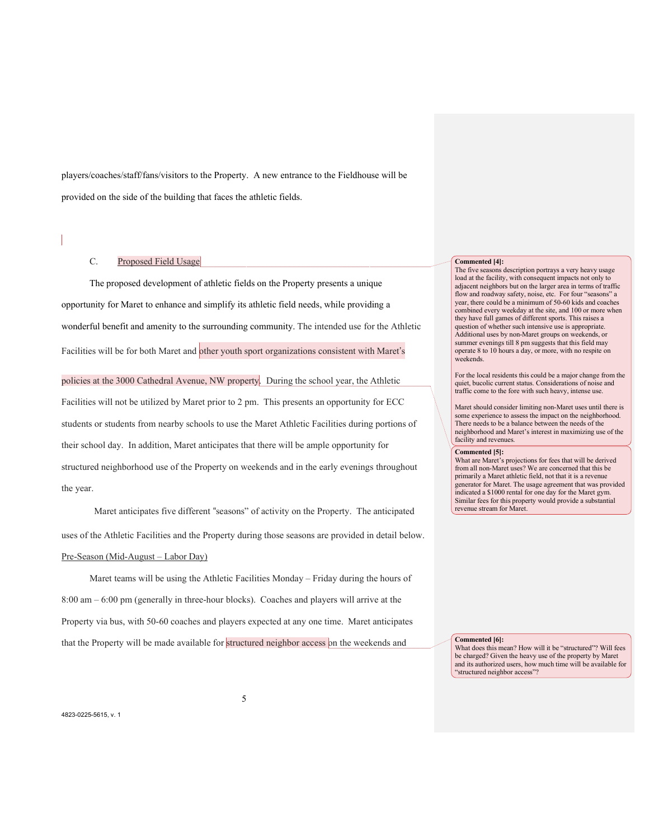players/coaches/staff/fans/visitors to the Property. A new entrance to the Fieldhouse will be provided on the side of the building that faces the athletic fields.

## C. Proposed Field Usage

The proposed development of athletic fields on the Property presents a unique opportunity for Maret to enhance and simplify its athletic field needs, while providing a wonderful benefit and amenity to the surrounding community. The intended use for the Athletic Facilities will be for both Maret and other youth sport organizations consistent with Maret's policies at the 3000 Cathedral Avenue, NW property. During the school year, the Athletic Facilities will not be utilized by Maret prior to 2 pm. This presents an opportunity for ECC students or students from nearby schools to use the Maret Athletic Facilities during portions of their school day. In addition, Maret anticipates that there will be ample opportunity for structured neighborhood use of the Property on weekends and in the early evenings throughout

 Maret anticipates five different "seasons" of activity on the Property. The anticipated uses of the Athletic Facilities and the Property during those seasons are provided in detail below.

#### Pre-Season (Mid-August – Labor Day)

Maret teams will be using the Athletic Facilities Monday – Friday during the hours of 8:00 am – 6:00 pm (generally in three-hour blocks). Coaches and players will arrive at the Property via bus, with 50-60 coaches and players expected at any one time. Maret anticipates that the Property will be made available for structured neighbor access on the weekends and

#### **Commented [4]:**

The five seasons description portrays a very heavy usage load at the facility, with consequent impacts not only to adjacent neighbors but on the larger area in terms of traffic flow and roadway safety, noise, etc. For four "seasons" a year, there could be a minimum of 50-60 kids and coaches combined every weekday at the site, and 100 or more when they have full games of different sports. This raises a question of whether such intensive use is appropriate. Additional uses by non-Maret groups on weekends, or summer evenings till 8 pm suggests that this field may operate 8 to 10 hours a day, or more, with no respite on weekends.

For the local residents this could be a major change from the quiet, bucolic current status. Considerations of noise and traffic come to the fore with such heavy, intense use.

Maret should consider limiting non-Maret uses until there is some experience to assess the impact on the neighborhood. There needs to be a balance between the needs of the neighborhood and Maret's interest in maximizing use of the facility and revenues.

#### **Commented [5]:**

What are Maret's projections for fees that will be derived from all non-Maret uses? We are concerned that this be primarily a Maret athletic field, not that it is a revenue generator for Maret. The usage agreement that was provided indicated a \$1000 rental for one day for the Maret gym. Similar fees for this property would provide a substantial revenue stream for Maret.

**Commented [6]:**

What does this mean? How will it be "structured"? Will fees be charged? Given the heavy use of the property by Maret and its authorized users, how much time will be available for 'structured neighbor access"?

the year.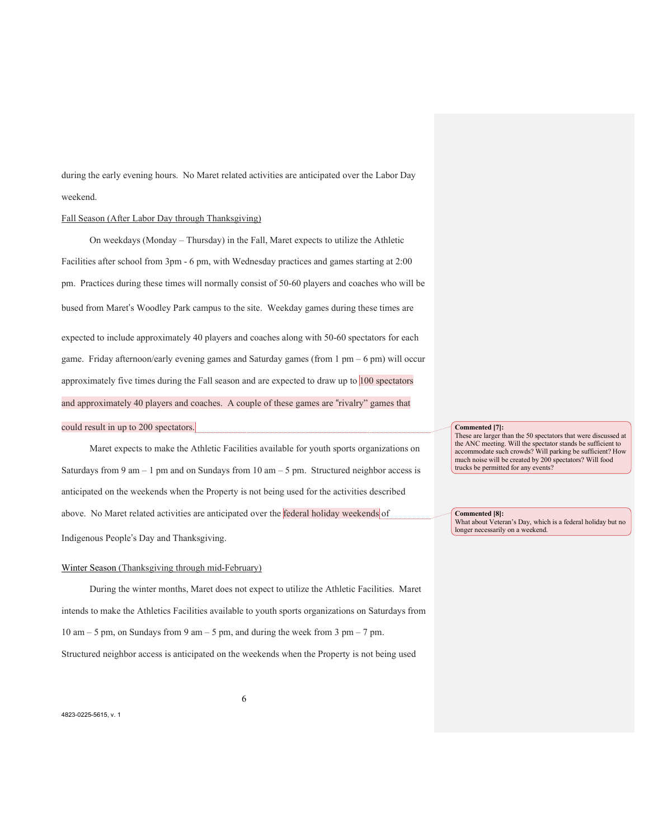during the early evening hours. No Maret related activities are anticipated over the Labor Day weekend.

#### Fall Season (After Labor Day through Thanksgiving)

On weekdays (Monday – Thursday) in the Fall, Maret expects to utilize the Athletic Facilities after school from 3pm - 6 pm, with Wednesday practices and games starting at 2:00 pm. Practices during these times will normally consist of 50-60 players and coaches who will be bused from Maret's Woodley Park campus to the site. Weekday games during these times are expected to include approximately 40 players and coaches along with 50-60 spectators for each game. Friday afternoon/early evening games and Saturday games (from 1 pm – 6 pm) will occur approximately five times during the Fall season and are expected to draw up to 100 spectators and approximately 40 players and coaches. A couple of these games are "rivalry" games that could result in up to 200 spectators.

Maret expects to make the Athletic Facilities available for youth sports organizations on Saturdays from 9 am – 1 pm and on Sundays from 10 am – 5 pm. Structured neighbor access is anticipated on the weekends when the Property is not being used for the activities described above. No Maret related activities are anticipated over the federal holiday weekends of Indigenous People's Day and Thanksgiving.

## Winter Season (Thanksgiving through mid-February)

During the winter months, Maret does not expect to utilize the Athletic Facilities. Maret intends to make the Athletics Facilities available to youth sports organizations on Saturdays from 10 am – 5 pm, on Sundays from 9 am – 5 pm, and during the week from 3 pm – 7 pm. Structured neighbor access is anticipated on the weekends when the Property is not being used

6

#### **Commented [7]:**

These are larger than the 50 spectators that were discussed at the ANC meeting. Will the spectator stands be sufficient to accommodate such crowds? Will parking be sufficient? How much noise will be created by 200 spectators? Will food trucks be permitted for any events?

**Commented [8]:** What about Veteran's Day, which is a federal holiday but no longer necessarily on a weekend.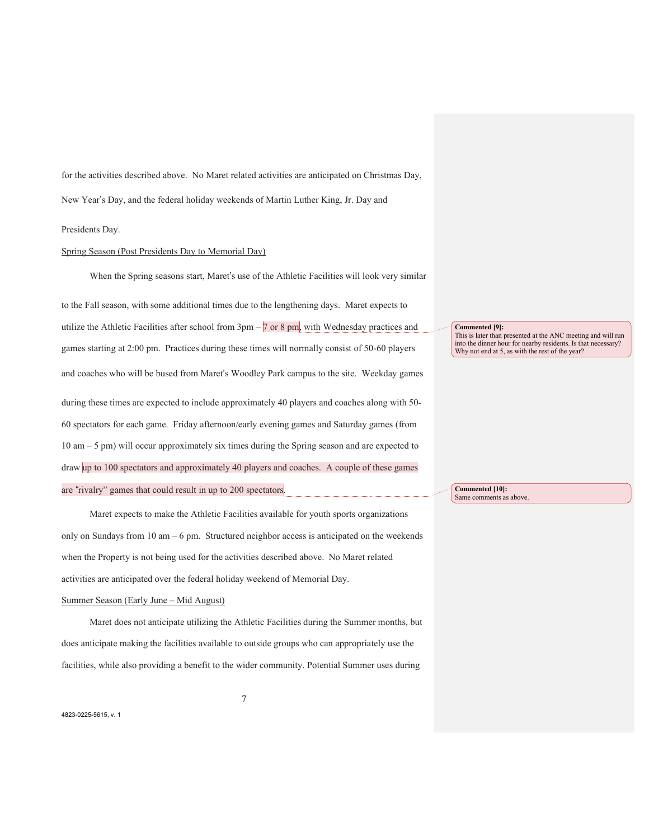for the activities described above. No Maret related activities are anticipated on Christmas Day, New Year's Day, and the federal holiday weekends of Martin Luther King, Jr. Day and

#### Presidents Day.

#### Spring Season (Post Presidents Day to Memorial Day)

When the Spring seasons start, Maret's use of the Athletic Facilities will look very similar

to the Fall season, with some additional times due to the lengthening days. Maret expects to utilize the Athletic Facilities after school from 3pm – 7 or 8 pm, with Wednesday practices and games starting at 2:00 pm. Practices during these times will normally consist of 50-60 players and coaches who will be bused from Maret's Woodley Park campus to the site. Weekday games during these times are expected to include approximately 40 players and coaches along with 50- 60 spectators for each game. Friday afternoon/early evening games and Saturday games (from 10 am – 5 pm) will occur approximately six times during the Spring season and are expected to draw up to 100 spectators and approximately 40 players and coaches. A couple of these games are "rivalry" games that could result in up to 200 spectators.

Maret expects to make the Athletic Facilities available for youth sports organizations only on Sundays from 10 am – 6 pm. Structured neighbor access is anticipated on the weekends when the Property is not being used for the activities described above. No Maret related activities are anticipated over the federal holiday weekend of Memorial Day.

#### Summer Season (Early June – Mid August)

Maret does not anticipate utilizing the Athletic Facilities during the Summer months, but does anticipate making the facilities available to outside groups who can appropriately use the facilities, while also providing a benefit to the wider community. Potential Summer uses during

**Commented [9]:**

This is later than presented at the ANC meeting and will run into the dinner hour for nearby residents. Is that necessary? Why not end at 5, as with the rest of the year?

**Commented [10]:** Same comments as above.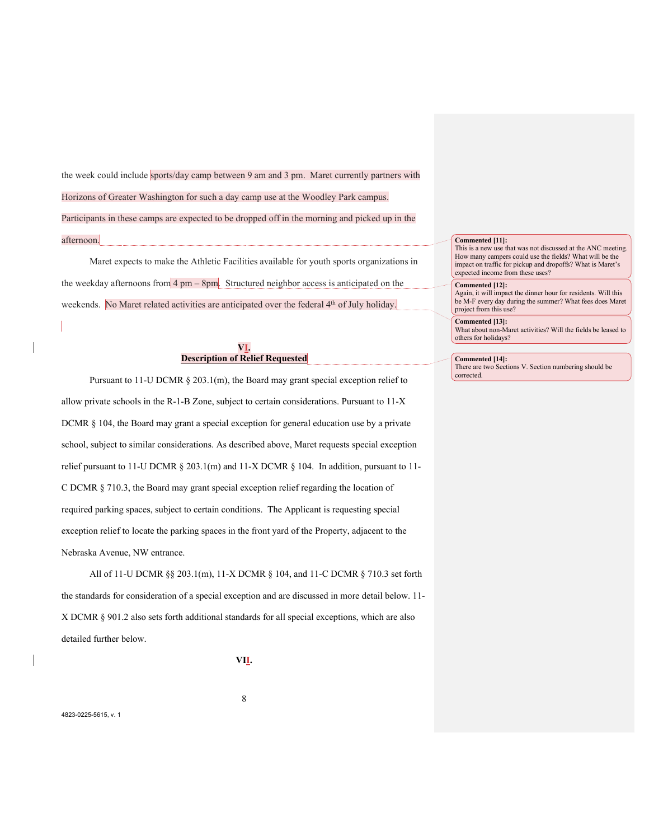the week could include sports/day camp between 9 am and 3 pm. Maret currently partners with Horizons of Greater Washington for such a day camp use at the Woodley Park campus. Participants in these camps are expected to be dropped off in the morning and picked up in the afternoon.

Maret expects to make the Athletic Facilities available for youth sports organizations in the weekday afternoons from  $4 \text{ pm} - 8\text{ pm}$ . Structured neighbor access is anticipated on the weekends. No Maret related activities are anticipated over the federal 4<sup>th</sup> of July holiday.

## **VI. Description of Relief Requested**

Pursuant to 11-U DCMR § 203.1(m), the Board may grant special exception relief to allow private schools in the R-1-B Zone, subject to certain considerations. Pursuant to 11-X DCMR § 104, the Board may grant a special exception for general education use by a private school, subject to similar considerations. As described above, Maret requests special exception relief pursuant to 11-U DCMR § 203.1(m) and 11-X DCMR § 104. In addition, pursuant to 11- C DCMR § 710.3, the Board may grant special exception relief regarding the location of required parking spaces, subject to certain conditions. The Applicant is requesting special exception relief to locate the parking spaces in the front yard of the Property, adjacent to the Nebraska Avenue, NW entrance.

All of 11-U DCMR §§ 203.1(m), 11-X DCMR § 104, and 11-C DCMR § 710.3 set forth the standards for consideration of a special exception and are discussed in more detail below. 11- X DCMR § 901.2 also sets forth additional standards for all special exceptions, which are also detailed further below.

**VII.**

8

#### **Commented [11]:**

This is a new use that was not discussed at the ANC meeting. How many campers could use the fields? What will be the impact on traffic for pickup and dropoffs? What is Maret's expected income from these uses?

#### **Commented [12]:**

Again, it will impact the dinner hour for residents. Will this be M-F every day during the summer? What fees does Maret project from this use?

#### **Commented [13]:** What about non-Maret activities? Will the fields be leased to others for holidays?

**Commented [14]:** There are two Sections V. Section numbering should be corrected.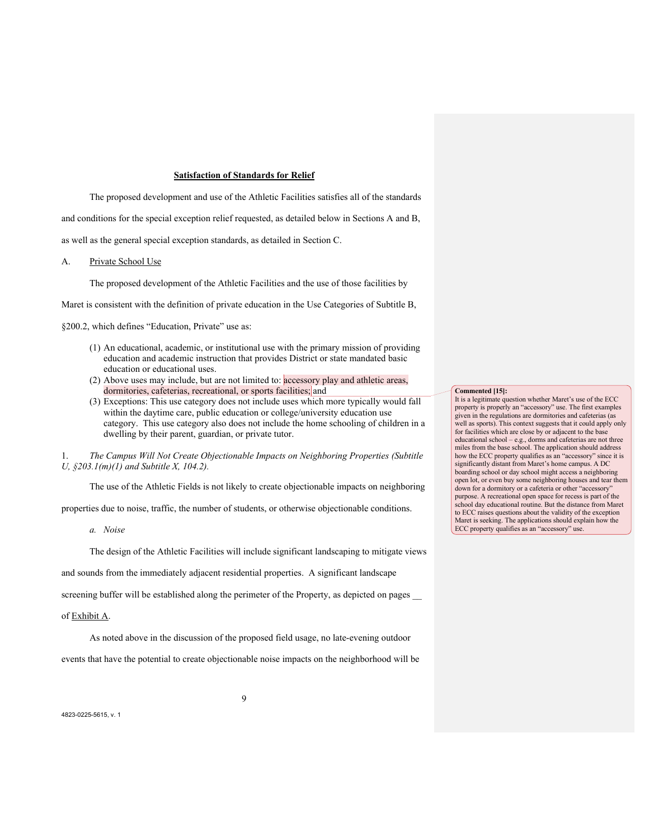#### **Satisfaction of Standards for Relief**

The proposed development and use of the Athletic Facilities satisfies all of the standards and conditions for the special exception relief requested, as detailed below in Sections A and B, as well as the general special exception standards, as detailed in Section C.

A. Private School Use

The proposed development of the Athletic Facilities and the use of those facilities by

Maret is consistent with the definition of private education in the Use Categories of Subtitle B,

§200.2, which defines "Education, Private" use as:

- (1) An educational, academic, or institutional use with the primary mission of providing education and academic instruction that provides District or state mandated basic education or educational uses.
- (2) Above uses may include, but are not limited to: accessory play and athletic areas, dormitories, cafeterias, recreational, or sports facilities; and
- (3) Exceptions: This use category does not include uses which more typically would fall within the daytime care, public education or college/university education use category. This use category also does not include the home schooling of children in a dwelling by their parent, guardian, or private tutor.

1. *The Campus Will Not Create Objectionable Impacts on Neighboring Properties (Subtitle U, §203.1(m)(1) and Subtitle X, 104.2).*

The use of the Athletic Fields is not likely to create objectionable impacts on neighboring

properties due to noise, traffic, the number of students, or otherwise objectionable conditions.

*a. Noise*

The design of the Athletic Facilities will include significant landscaping to mitigate views

and sounds from the immediately adjacent residential properties. A significant landscape

screening buffer will be established along the perimeter of the Property, as depicted on pages

### of Exhibit A.

As noted above in the discussion of the proposed field usage, no late-evening outdoor

events that have the potential to create objectionable noise impacts on the neighborhood will be

**Commented [15]:**

It is a legitimate question whether Maret's use of the ECC property is properly an "accessory" use. The first examples given in the regulations are dormitories and cafeterias (as well as sports). This context suggests that it could apply only for facilities which are close by or adjacent to the base educational school – e.g., dorms and cafeterias are not three miles from the base school. The application should address how the ECC property qualifies as an "accessory" since it is significantly distant from Maret's home campus. A DC boarding school or day school might access a neighboring open lot, or even buy some neighboring houses and tear them down for a dormitory or a cafeteria or other "accessory" purpose. A recreational open space for recess is part of the school day educational routine. But the distance from Maret to ECC raises questions about the validity of the exception Maret is seeking. The applications should explain how the ECC property qualifies as an "accessory" use.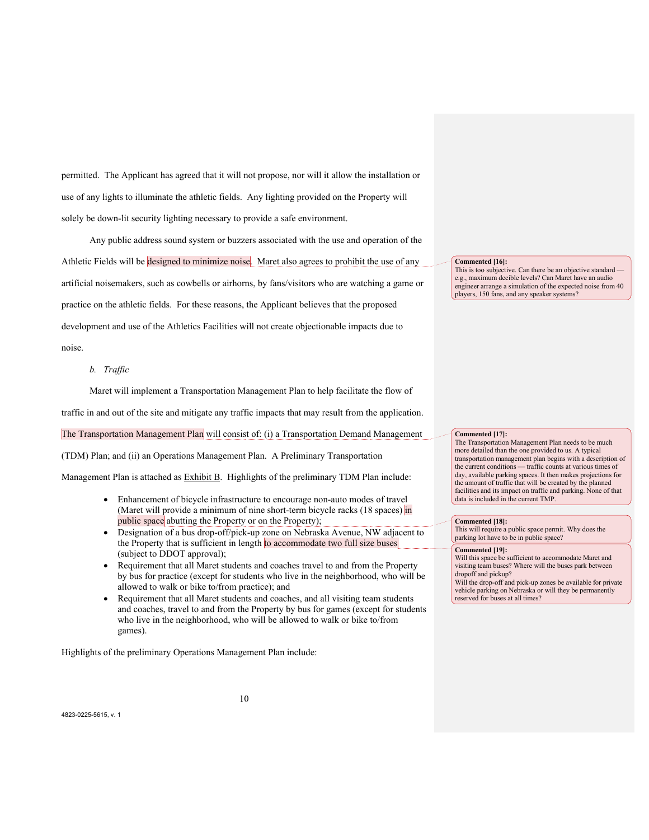permitted. The Applicant has agreed that it will not propose, nor will it allow the installation or use of any lights to illuminate the athletic fields. Any lighting provided on the Property will solely be down-lit security lighting necessary to provide a safe environment.

Any public address sound system or buzzers associated with the use and operation of the Athletic Fields will be designed to minimize noise. Maret also agrees to prohibit the use of any artificial noisemakers, such as cowbells or airhorns, by fans/visitors who are watching a game or practice on the athletic fields. For these reasons, the Applicant believes that the proposed development and use of the Athletics Facilities will not create objectionable impacts due to noise.

#### *b. Traffic*

Maret will implement a Transportation Management Plan to help facilitate the flow of

traffic in and out of the site and mitigate any traffic impacts that may result from the application.

The Transportation Management Plan will consist of: (i) a Transportation Demand Management

(TDM) Plan; and (ii) an Operations Management Plan. A Preliminary Transportation

Management Plan is attached as Exhibit B. Highlights of the preliminary TDM Plan include:

- Enhancement of bicycle infrastructure to encourage non-auto modes of travel (Maret will provide a minimum of nine short-term bicycle racks (18 spaces) in public space abutting the Property or on the Property);
- Designation of a bus drop-off/pick-up zone on Nebraska Avenue, NW adjacent to the Property that is sufficient in length to accommodate two full size buses (subject to DDOT approval);
- Requirement that all Maret students and coaches travel to and from the Property by bus for practice (except for students who live in the neighborhood, who will be allowed to walk or bike to/from practice); and
- Requirement that all Maret students and coaches, and all visiting team students and coaches, travel to and from the Property by bus for games (except for students who live in the neighborhood, who will be allowed to walk or bike to/from games).

Highlights of the preliminary Operations Management Plan include:

#### **Commented [16]:**

This is too subjective. Can there be an objective standard e.g., maximum decible levels? Can Maret have an audio engineer arrange a simulation of the expected noise from 40 players, 150 fans, and any speaker systems?

#### **Commented [17]:**

The Transportation Management Plan needs to be much more detailed than the one provided to us. A typical transportation management plan begins with a description of the current conditions — traffic counts at various times of day, available parking spaces. It then makes projections for the amount of traffic that will be created by the planned facilities and its impact on traffic and parking. None of that data is included in the current TMP.

#### **Commented [18]:**

This will require a public space permit. Why does the parking lot have to be in public space?

#### **Commented [19]:**

Will this space be sufficient to accommodate Maret and visiting team buses? Where will the buses park between dropoff and pickup?

Will the drop-off and pick-up zones be available for private vehicle parking on Nebraska or will they be permanently reserved for buses at all times?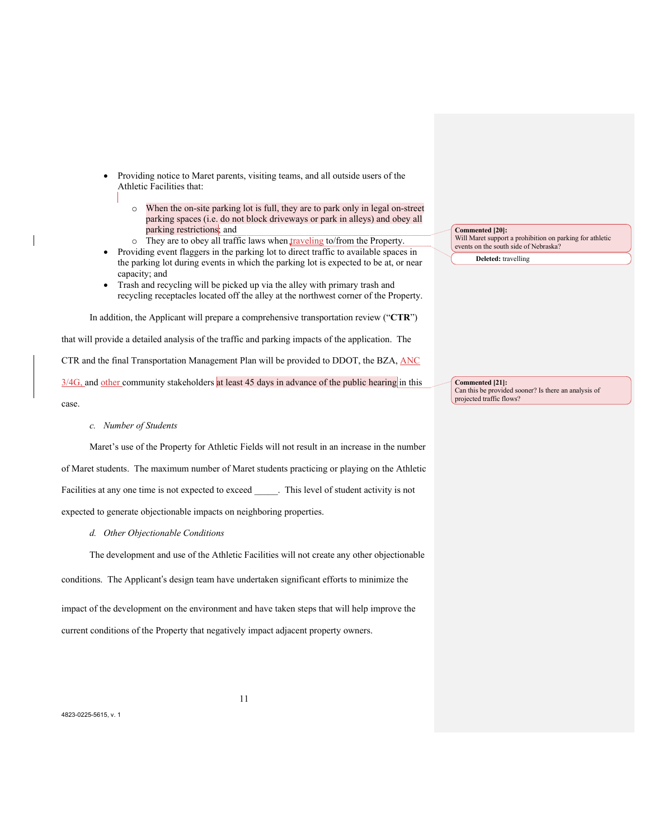- Providing notice to Maret parents, visiting teams, and all outside users of the Athletic Facilities that:
	- o When the on-site parking lot is full, they are to park only in legal on-street parking spaces (i.e. do not block driveways or park in alleys) and obey all parking restrictions; and
	- $\circ$  They are to obey all traffic laws when traveling to/from the Property.
- Providing event flaggers in the parking lot to direct traffic to available spaces in the parking lot during events in which the parking lot is expected to be at, or near capacity; and
- Trash and recycling will be picked up via the alley with primary trash and recycling receptacles located off the alley at the northwest corner of the Property.

In addition, the Applicant will prepare a comprehensive transportation review ("**CTR**") that will provide a detailed analysis of the traffic and parking impacts of the application. The CTR and the final Transportation Management Plan will be provided to DDOT, the BZA, ANC 3/4G, and other community stakeholders at least 45 days in advance of the public hearing in this case.

*c. Number of Students*

Maret's use of the Property for Athletic Fields will not result in an increase in the number of Maret students. The maximum number of Maret students practicing or playing on the Athletic Facilities at any one time is not expected to exceed . This level of student activity is not expected to generate objectionable impacts on neighboring properties.

*d. Other Objectionable Conditions*

The development and use of the Athletic Facilities will not create any other objectionable

conditions. The Applicant's design team have undertaken significant efforts to minimize the

impact of the development on the environment and have taken steps that will help improve the current conditions of the Property that negatively impact adjacent property owners.

**Commented [20]:** Will Maret support a prohibition on parking for athletic events on the south side of Nebraska? **Deleted:** travelling

**Commented [21]:** Can this be provided sooner? Is there an analysis of projected traffic flows?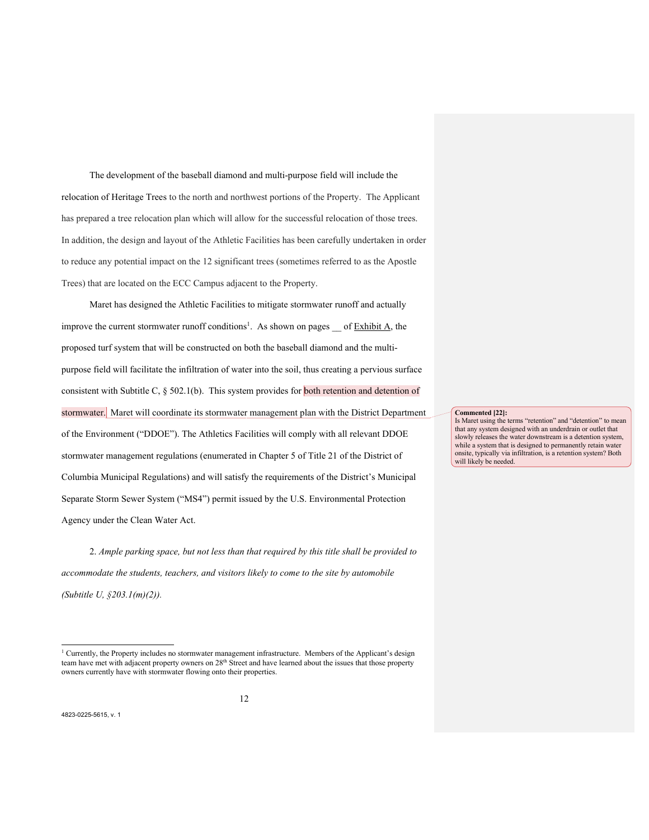The development of the baseball diamond and multi-purpose field will include the relocation of Heritage Trees to the north and northwest portions of the Property. The Applicant has prepared a tree relocation plan which will allow for the successful relocation of those trees. In addition, the design and layout of the Athletic Facilities has been carefully undertaken in order to reduce any potential impact on the 12 significant trees (sometimes referred to as the Apostle Trees) that are located on the ECC Campus adjacent to the Property.

Maret has designed the Athletic Facilities to mitigate stormwater runoff and actually improve the current stormwater runoff conditions<sup>1</sup>. As shown on pages of **Exhibit A**, the proposed turf system that will be constructed on both the baseball diamond and the multipurpose field will facilitate the infiltration of water into the soil, thus creating a pervious surface consistent with Subtitle C, § 502.1(b). This system provides for both retention and detention of stormwater. Maret will coordinate its stormwater management plan with the District Department of the Environment ("DDOE"). The Athletics Facilities will comply with all relevant DDOE stormwater management regulations (enumerated in Chapter 5 of Title 21 of the District of Columbia Municipal Regulations) and will satisfy the requirements of the District's Municipal Separate Storm Sewer System ("MS4") permit issued by the U.S. Environmental Protection Agency under the Clean Water Act.

2. *Ample parking space, but not less than that required by this title shall be provided to accommodate the students, teachers, and visitors likely to come to the site by automobile (Subtitle U, §203.1(m)(2)).*

**Commented [22]:**

Is Maret using the terms "retention" and "detention" to mean that any system designed with an underdrain or outlet that slowly releases the water downstream is a detention system, while a system that is designed to permanently retain water onsite, typically via infiltration, is a retention system? Both will likely be needed.

<sup>1</sup> Currently, the Property includes no stormwater management infrastructure. Members of the Applicant's design team have met with adjacent property owners on 28<sup>th</sup> Street and have learned about the issues that those property owners currently have with stormwater flowing onto their properties.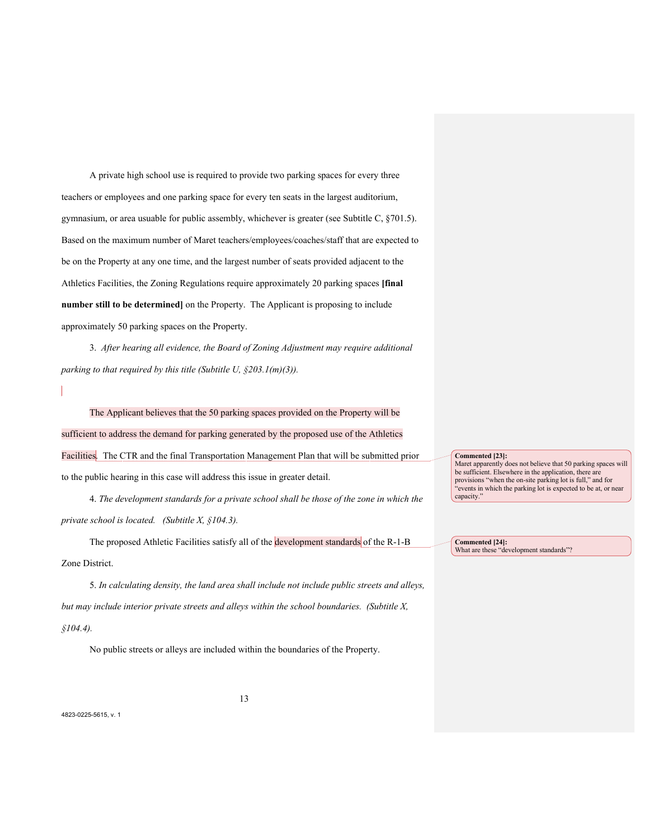A private high school use is required to provide two parking spaces for every three teachers or employees and one parking space for every ten seats in the largest auditorium, gymnasium, or area usuable for public assembly, whichever is greater (see Subtitle C, §701.5). Based on the maximum number of Maret teachers/employees/coaches/staff that are expected to be on the Property at any one time, and the largest number of seats provided adjacent to the Athletics Facilities, the Zoning Regulations require approximately 20 parking spaces **[final number still to be determined]** on the Property. The Applicant is proposing to include approximately 50 parking spaces on the Property.

3. *After hearing all evidence, the Board of Zoning Adjustment may require additional parking to that required by this title (Subtitle U, §203.1(m)(3)).*

The Applicant believes that the 50 parking spaces provided on the Property will be sufficient to address the demand for parking generated by the proposed use of the Athletics Facilities. The CTR and the final Transportation Management Plan that will be submitted prior to the public hearing in this case will address this issue in greater detail.

4. *The development standards for a private school shall be those of the zone in which the private school is located. (Subtitle X, §104.3).*

The proposed Athletic Facilities satisfy all of the development standards of the R-1-B Zone District.

5. *In calculating density, the land area shall include not include public streets and alleys, but may include interior private streets and alleys within the school boundaries. (Subtitle X, §104.4).*

No public streets or alleys are included within the boundaries of the Property.

#### **Commented [23]:**

Maret apparently does not believe that 50 parking spaces will be sufficient. Elsewhere in the application, there are provisions "when the on-site parking lot is full," and for "events in which the parking lot is expected to be at, or near capacity."

**Commented [24]:** What are these "development standards"?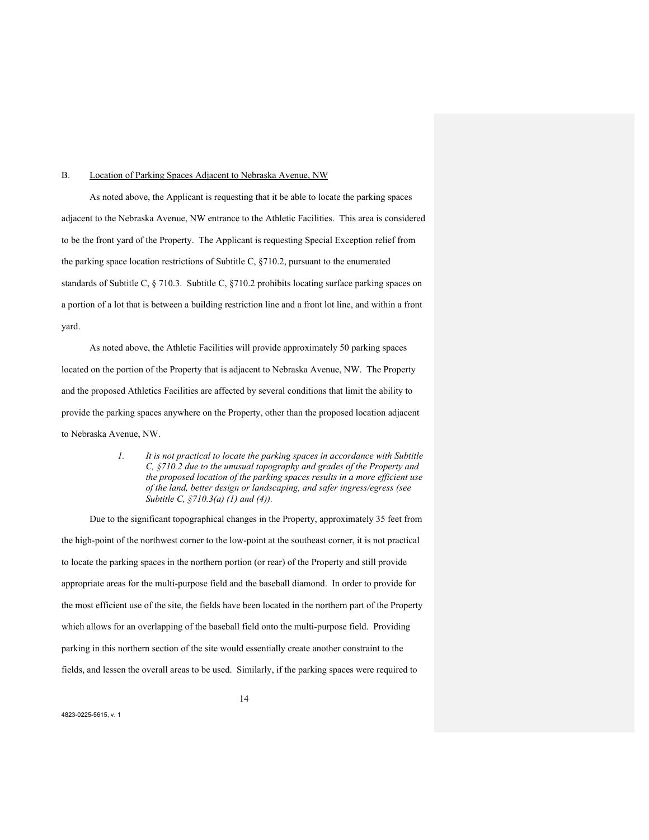#### B. Location of Parking Spaces Adjacent to Nebraska Avenue, NW

As noted above, the Applicant is requesting that it be able to locate the parking spaces adjacent to the Nebraska Avenue, NW entrance to the Athletic Facilities. This area is considered to be the front yard of the Property. The Applicant is requesting Special Exception relief from the parking space location restrictions of Subtitle C, §710.2, pursuant to the enumerated standards of Subtitle C, § 710.3. Subtitle C, §710.2 prohibits locating surface parking spaces on a portion of a lot that is between a building restriction line and a front lot line, and within a front yard.

As noted above, the Athletic Facilities will provide approximately 50 parking spaces located on the portion of the Property that is adjacent to Nebraska Avenue, NW. The Property and the proposed Athletics Facilities are affected by several conditions that limit the ability to provide the parking spaces anywhere on the Property, other than the proposed location adjacent to Nebraska Avenue, NW.

> *1. It is not practical to locate the parking spaces in accordance with Subtitle C, §710.2 due to the unusual topography and grades of the Property and the proposed location of the parking spaces results in a more efficient use of the land, better design or landscaping, and safer ingress/egress (see Subtitle C, §710.3(a) (1) and (4)).*

Due to the significant topographical changes in the Property, approximately 35 feet from the high-point of the northwest corner to the low-point at the southeast corner, it is not practical to locate the parking spaces in the northern portion (or rear) of the Property and still provide appropriate areas for the multi-purpose field and the baseball diamond. In order to provide for the most efficient use of the site, the fields have been located in the northern part of the Property which allows for an overlapping of the baseball field onto the multi-purpose field. Providing parking in this northern section of the site would essentially create another constraint to the fields, and lessen the overall areas to be used. Similarly, if the parking spaces were required to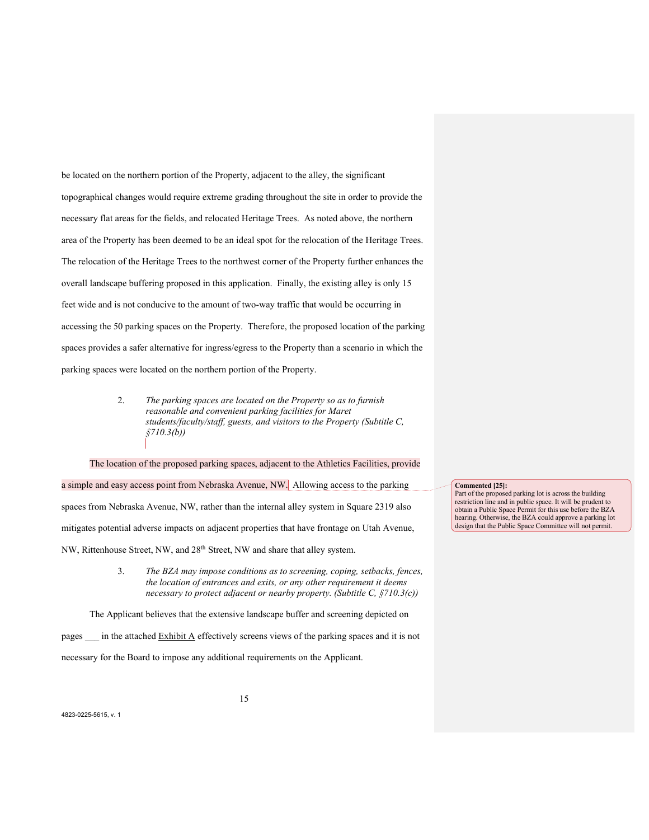be located on the northern portion of the Property, adjacent to the alley, the significant topographical changes would require extreme grading throughout the site in order to provide the necessary flat areas for the fields, and relocated Heritage Trees. As noted above, the northern area of the Property has been deemed to be an ideal spot for the relocation of the Heritage Trees. The relocation of the Heritage Trees to the northwest corner of the Property further enhances the overall landscape buffering proposed in this application. Finally, the existing alley is only 15 feet wide and is not conducive to the amount of two-way traffic that would be occurring in accessing the 50 parking spaces on the Property. Therefore, the proposed location of the parking spaces provides a safer alternative for ingress/egress to the Property than a scenario in which the parking spaces were located on the northern portion of the Property.

> 2. *The parking spaces are located on the Property so as to furnish reasonable and convenient parking facilities for Maret students/faculty/staff, guests, and visitors to the Property (Subtitle C, §710.3(b))*

The location of the proposed parking spaces, adjacent to the Athletics Facilities, provide a simple and easy access point from Nebraska Avenue, NW. Allowing access to the parking spaces from Nebraska Avenue, NW, rather than the internal alley system in Square 2319 also mitigates potential adverse impacts on adjacent properties that have frontage on Utah Avenue, NW, Rittenhouse Street, NW, and 28th Street, NW and share that alley system.

> 3. *The BZA may impose conditions as to screening, coping, setbacks, fences, the location of entrances and exits, or any other requirement it deems necessary to protect adjacent or nearby property. (Subtitle C, §710.3(c))*

The Applicant believes that the extensive landscape buffer and screening depicted on pages \_\_\_ in the attached Exhibit A effectively screens views of the parking spaces and it is not necessary for the Board to impose any additional requirements on the Applicant.

**Commented [25]:**

Part of the proposed parking lot is across the building restriction line and in public space. It will be prudent to obtain a Public Space Permit for this use before the BZA hearing. Otherwise, the BZA could approve a parking lot design that the Public Space Committee will not permit.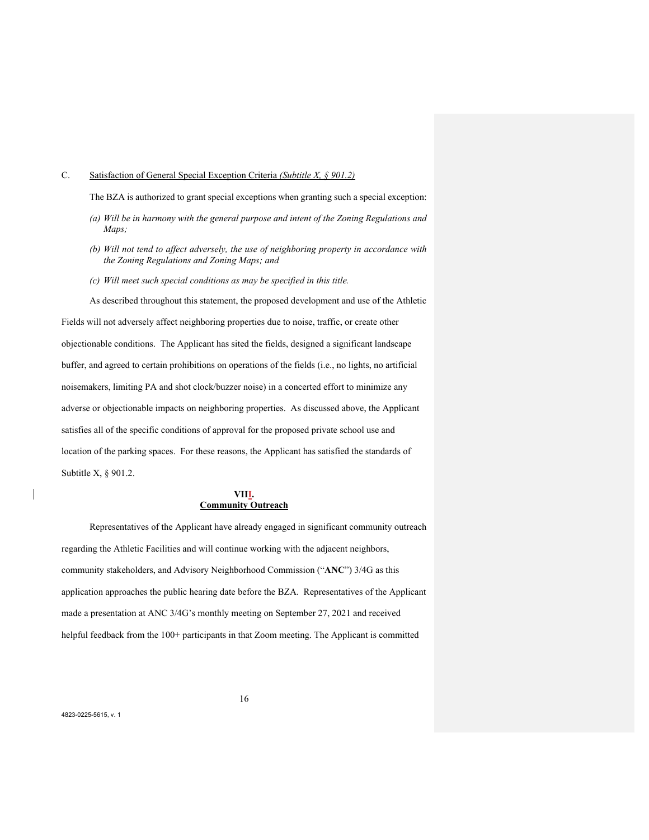## C. Satisfaction of General Special Exception Criteria *(Subtitle X, § 901.2)*

The BZA is authorized to grant special exceptions when granting such a special exception:

- *(a) Will be in harmony with the general purpose and intent of the Zoning Regulations and Maps;*
- *(b) Will not tend to affect adversely, the use of neighboring property in accordance with the Zoning Regulations and Zoning Maps; and*
- *(c) Will meet such special conditions as may be specified in this title.*

As described throughout this statement, the proposed development and use of the Athletic Fields will not adversely affect neighboring properties due to noise, traffic, or create other objectionable conditions. The Applicant has sited the fields, designed a significant landscape buffer, and agreed to certain prohibitions on operations of the fields (i.e., no lights, no artificial noisemakers, limiting PA and shot clock/buzzer noise) in a concerted effort to minimize any adverse or objectionable impacts on neighboring properties. As discussed above, the Applicant satisfies all of the specific conditions of approval for the proposed private school use and location of the parking spaces. For these reasons, the Applicant has satisfied the standards of Subtitle X, § 901.2.

## **VIII. Community Outreach**

Representatives of the Applicant have already engaged in significant community outreach regarding the Athletic Facilities and will continue working with the adjacent neighbors, community stakeholders, and Advisory Neighborhood Commission ("**ANC**") 3/4G as this application approaches the public hearing date before the BZA. Representatives of the Applicant made a presentation at ANC 3/4G's monthly meeting on September 27, 2021 and received helpful feedback from the 100+ participants in that Zoom meeting. The Applicant is committed